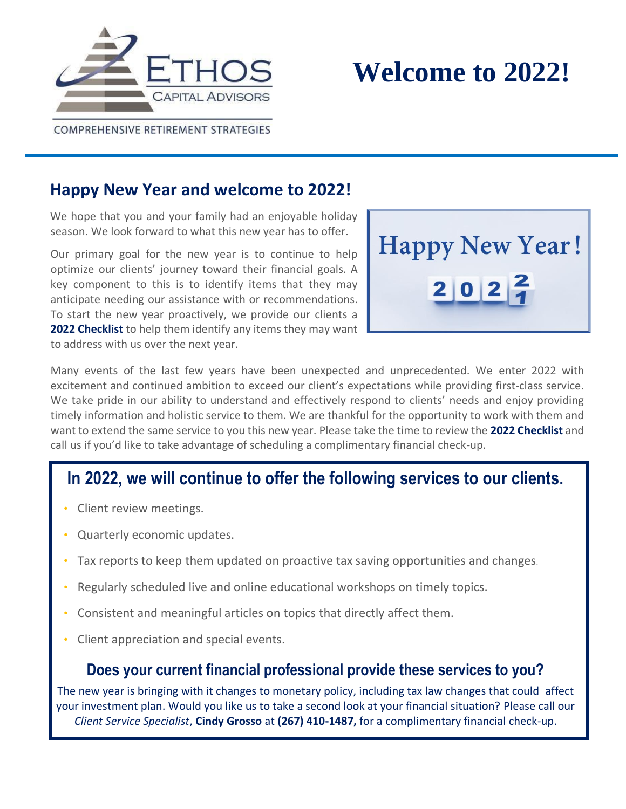



COMPREHENSIVE RETIREMENT STRATEGIES

# **Happy New Year and welcome to 2022!**

We hope that you and your family had an enjoyable holiday season. We look forward to what this new year has to offer.

Our primary goal for the new year is to continue to help optimize our clients' journey toward their financial goals. A key component to this is to identify items that they may anticipate needing our assistance with or recommendations. To start the new year proactively, we provide our clients a **2022 Checklist** to help them identify any items they may want to address with us over the next year.



Many events of the last few years have been unexpected and unprecedented. We enter 2022 with excitement and continued ambition to exceed our client's expectations while providing first-class service. We take pride in our ability to understand and effectively respond to clients' needs and enjoy providing timely information and holistic service to them. We are thankful for the opportunity to work with them and want to extend the same service to you this new year. Please take the time to review the **2022 Checklist** and call us if you'd like to take advantage of scheduling a complimentary financial check-up.

# **In 2022, we will continue to offer the following services to our clients.**

- Client review meetings.
- Quarterly economic updates.
- Tax reports to keep them updated on proactive tax saving opportunities and changes.
- Regularly scheduled live and online educational workshops on timely topics.
- Consistent and meaningful articles on topics that directly affect them.
- Client appreciation and special events.

## **Does your current financial professional provide these services to you?**

The new year is bringing with it changes to monetary policy, including tax law changes that could affect your investment plan. Would you like us to take a second look at your financial situation? Please call our *Client Service Specialist*, **Cindy Grosso** at **(267) 410-1487,** for a complimentary financial check-up.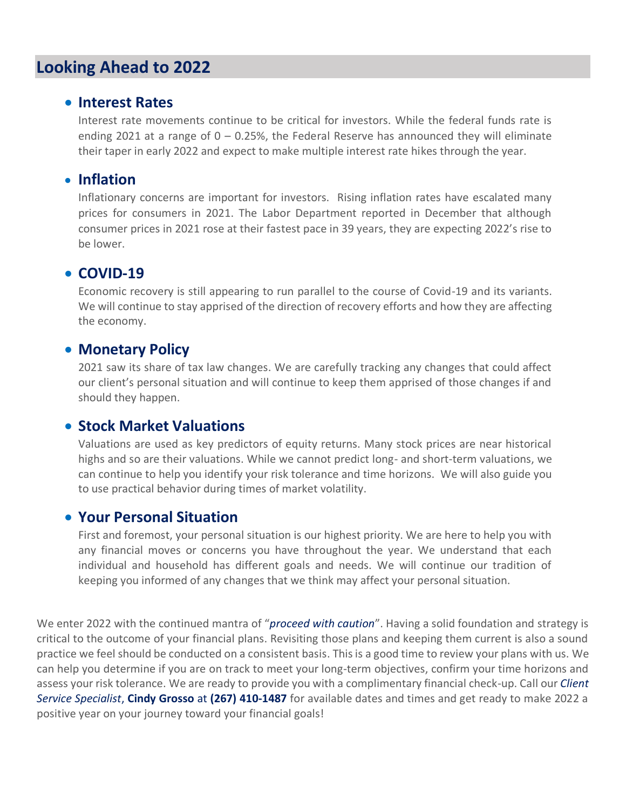# **Looking Ahead to 2022**

#### • **Interest Rates**

Interest rate movements continue to be critical for investors. While the federal funds rate is ending 2021 at a range of  $0 - 0.25$ %, the Federal Reserve has announced they will eliminate their taper in early 2022 and expect to make multiple interest rate hikes through the year.

#### • **Inflation**

Inflationary concerns are important for investors. Rising inflation rates have escalated many prices for consumers in 2021. The Labor Department reported in December that although consumer prices in 2021 rose at their fastest pace in 39 years, they are expecting 2022's rise to be lower.

### • **COVID-19**

Economic recovery is still appearing to run parallel to the course of Covid-19 and its variants. We will continue to stay apprised of the direction of recovery efforts and how they are affecting the economy.

#### • **Monetary Policy**

2021 saw its share of tax law changes. We are carefully tracking any changes that could affect our client's personal situation and will continue to keep them apprised of those changes if and should they happen.

#### • **Stock Market Valuations**

Valuations are used as key predictors of equity returns. Many stock prices are near historical highs and so are their valuations. While we cannot predict long- and short-term valuations, we can continue to help you identify your risk tolerance and time horizons. We will also guide you to use practical behavior during times of market volatility.

### • **Your Personal Situation**

First and foremost, your personal situation is our highest priority. We are here to help you with any financial moves or concerns you have throughout the year. We understand that each individual and household has different goals and needs. We will continue our tradition of keeping you informed of any changes that we think may affect your personal situation.

We enter 2022 with the continued mantra of "*proceed with caution*". Having a solid foundation and strategy is critical to the outcome of your financial plans. Revisiting those plans and keeping them current is also a sound practice we feel should be conducted on a consistent basis. This is a good time to review your plans with us. We can help you determine if you are on track to meet your long-term objectives, confirm your time horizons and assess your risk tolerance. We are ready to provide you with a complimentary financial check-up. Call our *Client Service Specialist*, **Cindy Grosso** at **(267) 410-1487** for available dates and times and get ready to make 2022 a positive year on your journey toward your financial goals!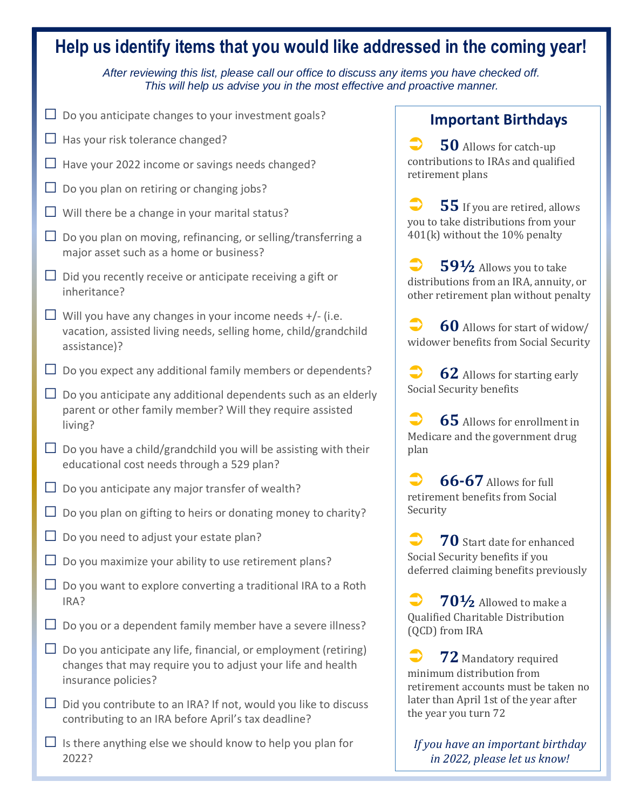#### **Help us identify items that you would like addressed in the coming year!** *After reviewing this list, please call our office to discuss any items you have checked off. This will help us advise you in the most effective and proactive manner.* **□** Do you anticipate changes to your investment goals? **□** Has your risk tolerance changed? **□** Have your 2022 income or savings needs changed? **□** Do you plan on retiring or changing jobs? **□** Will there be a change in your marital status? **□** Do you plan on moving, refinancing, or selling/transferring a major asset such as a home or business? **□** Did you recently receive or anticipate receiving a gift or inheritance? **□** Will you have any changes in your income needs +/- (i.e. vacation, assisted living needs, selling home, child/grandchild assistance)? **□** Do you expect any additional family members or dependents? **□** Do you anticipate any additional dependents such as an elderly parent or other family member? Will they require assisted living?  $\Box$  Do you have a child/grandchild you will be assisting with their educational cost needs through a 529 plan? **□** Do you anticipate any major transfer of wealth? **□** Do you plan on gifting to heirs or donating money to charity? **□** Do you need to adjust your estate plan? **□** Do you maximize your ability to use retirement plans? **□** Do you want to explore converting a traditional IRA to a Roth IRA? **□** Do you or a dependent family member have a severe illness?  $\Box$  Do you anticipate any life, financial, or employment (retiring) changes that may require you to adjust your life and health insurance policies?  $\Box$  Did you contribute to an IRA? If not, would you like to discuss contributing to an IRA before April's tax deadline? **Important Birthdays 50** Allows for catch-up contributions to IRAs and qualified retirement plans **55** If you are retired, allows you to take distributions from your 401(k) without the 10% penalty **59½** Allows you to take distributions from an IRA, annuity, or other retirement plan without penalty **60** Allows for start of widow/ widower benefits from Social Security **62** Allows for starting early Social Security benefits **65** Allows for enrollment in Medicare and the government drug plan **66-67** Allows for full retirement benefits from Social Security **70** Start date for enhanced Social Security benefits if you deferred claiming benefits previously **70½** Allowed to make a Qualified Charitable Distribution (QCD) from IRA **72** Mandatory required minimum distribution from retirement accounts must be taken no later than April 1st of the year after the year you turn 72

 $\Box$  Is there anything else we should know to help you plan for 2022?

*If you have an important birthday in 2022, please let us know!*